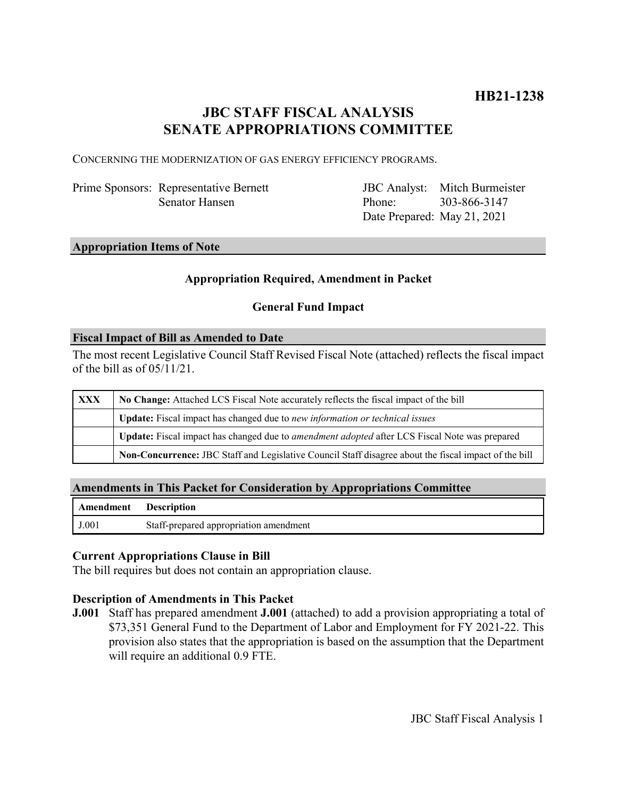# **JBC STAFF FISCAL ANALYSIS SENATE APPROPRIATIONS COMMITTEE**

CONCERNING THE MODERNIZATION OF GAS ENERGY EFFICIENCY PROGRAMS.

Prime Sponsors: Representative Bernett Senator Hansen

JBC Analyst: Mitch Burmeister Phone: Date Prepared: May 21, 2021 303-866-3147

#### **Appropriation Items of Note**

# **Appropriation Required, Amendment in Packet**

# **General Fund Impact**

#### **Fiscal Impact of Bill as Amended to Date**

The most recent Legislative Council Staff Revised Fiscal Note (attached) reflects the fiscal impact of the bill as of 05/11/21.

| <b>XXX</b> | No Change: Attached LCS Fiscal Note accurately reflects the fiscal impact of the bill                       |
|------------|-------------------------------------------------------------------------------------------------------------|
|            | Update: Fiscal impact has changed due to new information or technical issues                                |
|            | <b>Update:</b> Fiscal impact has changed due to <i>amendment adopted</i> after LCS Fiscal Note was prepared |
|            | Non-Concurrence: JBC Staff and Legislative Council Staff disagree about the fiscal impact of the bill       |

#### **Amendments in This Packet for Consideration by Appropriations Committee**

| <b>Amendment</b> Description |                                        |
|------------------------------|----------------------------------------|
| J.001                        | Staff-prepared appropriation amendment |

# **Current Appropriations Clause in Bill**

The bill requires but does not contain an appropriation clause.

#### **Description of Amendments in This Packet**

**J.001** Staff has prepared amendment **J.001** (attached) to add a provision appropriating a total of \$73,351 General Fund to the Department of Labor and Employment for FY 2021-22. This provision also states that the appropriation is based on the assumption that the Department will require an additional 0.9 FTE.